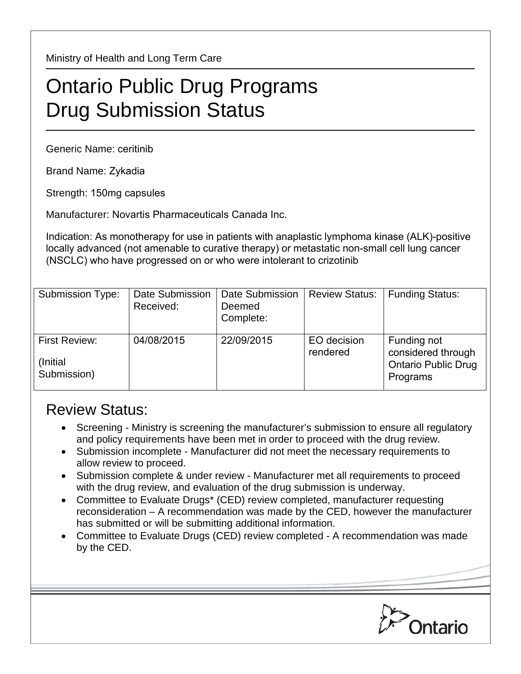Ministry of Health and Long Term Care

## Ontario Public Drug Programs Drug Submission Status

Generic Name: ceritinib

Brand Name: Zykadia

Strength: 150mg capsules

Manufacturer: Novartis Pharmaceuticals Canada Inc.

Indication: As monotherapy for use in patients with anaplastic lymphoma kinase (ALK)-positive locally advanced (not amenable to curative therapy) or metastatic non-small cell lung cancer (NSCLC) who have progressed on or who were intolerant to crizotinib

| <b>Submission Type:</b>                   | Date Submission<br>Received: | <b>Date Submission</b><br>Deemed<br>Complete: | <b>Review Status:</b>   | <b>Funding Status:</b>                                                      |
|-------------------------------------------|------------------------------|-----------------------------------------------|-------------------------|-----------------------------------------------------------------------------|
| First Review:<br>(Initial)<br>Submission) | 04/08/2015                   | 22/09/2015                                    | EO decision<br>rendered | Funding not<br>considered through<br><b>Ontario Public Drug</b><br>Programs |

## Review Status:

- Screening Ministry is screening the manufacturer's submission to ensure all regulatory and policy requirements have been met in order to proceed with the drug review.
- Submission incomplete Manufacturer did not meet the necessary requirements to allow review to proceed.
- Submission complete & under review Manufacturer met all requirements to proceed with the drug review, and evaluation of the drug submission is underway.
- Committee to Evaluate Drugs\* (CED) review completed, manufacturer requesting reconsideration – A recommendation was made by the CED, however the manufacturer has submitted or will be submitting additional information.
- Committee to Evaluate Drugs (CED) review completed A recommendation was made by the CED.